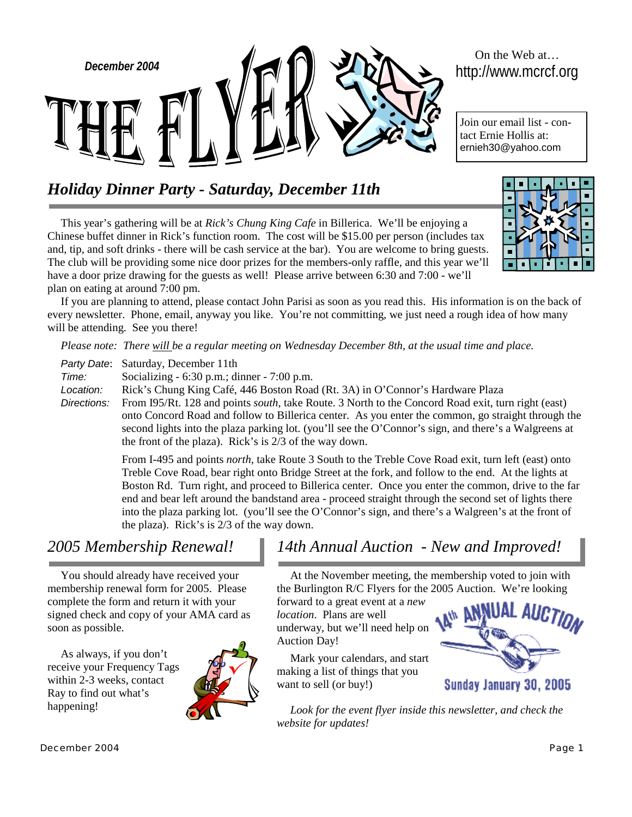

# On the Web at…

Join our email list - contact Ernie Hollis at: ernieh30@yahoo.com

# *Holiday Dinner Party - Saturday, December 11th*

This year's gathering will be at *Rick's Chung King Cafe* in Billerica. We'll be enjoying a Chinese buffet dinner in Rick's function room. The cost will be \$15.00 per person (includes tax and, tip, and soft drinks - there will be cash service at the bar). You are welcome to bring guests. The club will be providing some nice door prizes for the members-only raffle, and this year we'll have a door prize drawing for the guests as well! Please arrive between 6:30 and 7:00 - we'll plan on eating at around 7:00 pm.

If you are planning to attend, please contact John Parisi as soon as you read this. His information is on the back of every newsletter. Phone, email, anyway you like. You're not committing, we just need a rough idea of how many will be attending. See you there!

*Please note: There will be a regular meeting on Wednesday December 8th, at the usual time and place.* 

*Party Date*: Saturday, December 11th *Time:* Socializing - 6:30 p.m.; dinner - 7:00 p.m. *Location:* Rick's Chung King Café, 446 Boston Road (Rt. 3A) in O'Connor's Hardware Plaza *Directions:* From I95/Rt. 128 and points *south*, take Route. 3 North to the Concord Road exit, turn right (east) onto Concord Road and follow to Billerica center. As you enter the common, go straight through the second lights into the plaza parking lot. (you'll see the O'Connor's sign, and there's a Walgreens at the front of the plaza). Rick's is 2/3 of the way down.

> From I-495 and points *north*, take Route 3 South to the Treble Cove Road exit, turn left (east) onto Treble Cove Road, bear right onto Bridge Street at the fork, and follow to the end. At the lights at Boston Rd. Turn right, and proceed to Billerica center. Once you enter the common, drive to the far end and bear left around the bandstand area - proceed straight through the second set of lights there into the plaza parking lot. (you'll see the O'Connor's sign, and there's a Walgreen's at the front of the plaza). Rick's is 2/3 of the way down.

You should already have received your membership renewal form for 2005. Please complete the form and return it with your signed check and copy of your AMA card as soon as possible.

As always, if you don't receive your Frequency Tags within 2-3 weeks, contact Ray to find out what's happening!



# *2005 Membership Renewal! 14th Annual Auction - New and Improved!*

At the November meeting, the membership voted to join with the Burlington R/C Flyers for the 2005 Auction. We're looking

forward to a great event at a *new location*. Plans are well underway, but we'll need help on Auction Day!

Mark your calendars, and start making a list of things that you want to sell (or buy!)



Sunday January 30, 2005

Look for the event flyer inside this newsletter, and check the *website for updates!*